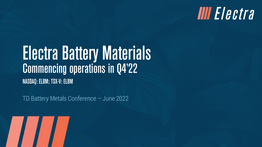### **IIII** Electra

# **Electra Battery Materials<br>Commencing operations in Q4'22** NASDAQ: ELBM; TSX-V: ELBM

TD Battery Metals Conference – June 2022

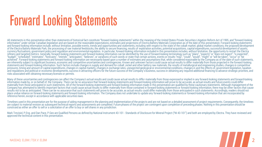#### **Forward Looking Statements**

All statements in this presentation other than statements of historical fact constitute "forward-looking statements" within the meaning of the United States Private Securities Litigation Reform Act of 1995, and "forward-lo information" under similar Canadian legislation and are based on the reasonable expectations, estimates and projections of Electra Battery Materials Corporation as of the date of this presentation. Forward-looking statements and forward-looking information include, without limitation, possible events, trends and opportunities and statements, including with respect to the state of the cobalt market, global market, conditions, the proposed devel of the Electra Battery Materials Park, the processing of raw material feedstocks, the ability to secure financing, results of exploration activities, potential acquisitions, capital expenditures, successful development of refinery and targeted metrics. Generally, forward-looking statements and forward-looking information can be identified by the use of forward-looking terminology such as "plans", "expects" or "does not expect", "is expected achieved". Forward-looking statements and forward-looking information are necessarily based upon a number of estimates and assumptions that, while considered reasonable by the Company as of the date of such statements,<br>are statements and forward-looking information. Such factors include changes in supply and demand for cobalt ,nickel and other battery raw materials, the results of metallurgical and engineering studies, changes in competitive pressures, timing and amount of capital expenditures, changes in capital markets, changes in exchange rates, unexpected geological or environmental conditions, changes in and the effects of, government legislation, taxation and regulations and political or economic developments, success in attracting officers for the future success of the Company's business, success in obtaining any required additional financing to advance strategic prioritie risks associated with obtaining necessary licenses or permits.

Many of these uncertainties and contingencies can affect the Company's actual results and could cause actual results to differ materially from those expressed or implied in any forward-looking statements and forward-lookin information made by, or on behalf of, the Company. There can be no assurance that forward-looking statements and forward-looking information will prove to be accurate, as actual results and future events could differ materially from those anticipated in such statements. All of the forward-looking statements and forward-looking information made in this presentation are qualified by these cautionary statements. Although management of the Company has attempted to identify important factors that could cause actual results to differ materially from those contained in forward-looking statements or forward-looking information, there may be other factors that ca results not to be as anticipated. There can be no assurance that such statements will prove to be accurate, as actual results could differ materially from those anticipated in such statements. Accordingly, readers should not place undue reliance on forward-looking statements and forward-looking information. The Company does not undertake to update any forward-looking statements or forward-looking information that are incorporated by reference herein, except in accordance with applicable securities laws.

Timelines used in this presentation are for the purpose of aiding management in the planning and implementation of the projects and are not based on a detailed assessment of project requirements. Consequently, the timelines are subject to material revision as subsequent technical reports and assessments are completed. Future phases of the project are contingent upon completion of preceding phases. Nothing in this presentation should be construed as either an offer to sell or a solicitation of an offer to buy or sell shares in any jurisdiction.

Mark Trevisiol, P.Eng. and Dan Pace, P.Geo are Qualified Persons as defined by National Instrument 43-101 - Standards of Disclosure for Mineral Project ("NI 43-101") and both are employed by Electra. They have reviewed and approved the technical content in this presentation.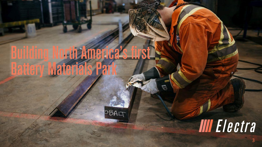## urth America's atter

OBALT

## **IIII** Electra

 $\mathbb{Q}$ 

 $\mathcal{A}$  , the state of the state of the state of the state of the state of the state of the state of the state of the state of the state of the state of the state of the state of the state of the state of the state of th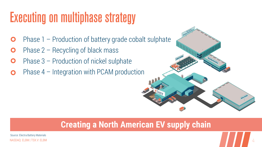#### **Executing on multiphase strategy**

- Phase 1 Production of battery grade cobalt sulphate  $\mathbf O$
- Phase 2 Recycling of black mass
- Phase 3 Production of nickel sulphate  $\mathbf O$
- Phase 4 Integration with PCAM production

#### **Creating a North American EV supply chain**

NASDAQ: ELBM | TSX.V: ELBM 4.4. AND AND A SOLUTION OF A SOLUTION OF A SOLUTION OF A SOLUTION OF A SOLUTION OF A Source: Electra Battery Materials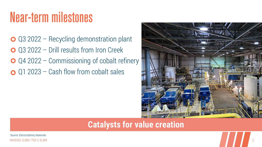#### **Near-term milestones**

- Q3 2022 Recycling demonstration plant Q3 2022 – Drill results from Iron Creek
- **○** Q4 2022 Commissioning of cobalt refinery
- $\bigcirc$  Q1 2023 Cash flow from cobalt sales



#### **Catalysts for value creation**

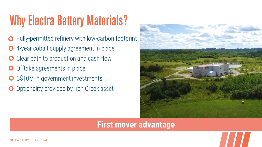### **Why Electra Battery Materials?**

- Fully-permitted refinery with low-carbon footprint
- 4-year cobalt supply agreement in place
- Clear path to production and cash flow
- Offtake agreements in place
- O C\$10M in government investments
- Optionality provided by Iron Creek asset



#### **First mover advantage**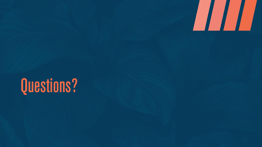

## Questions?